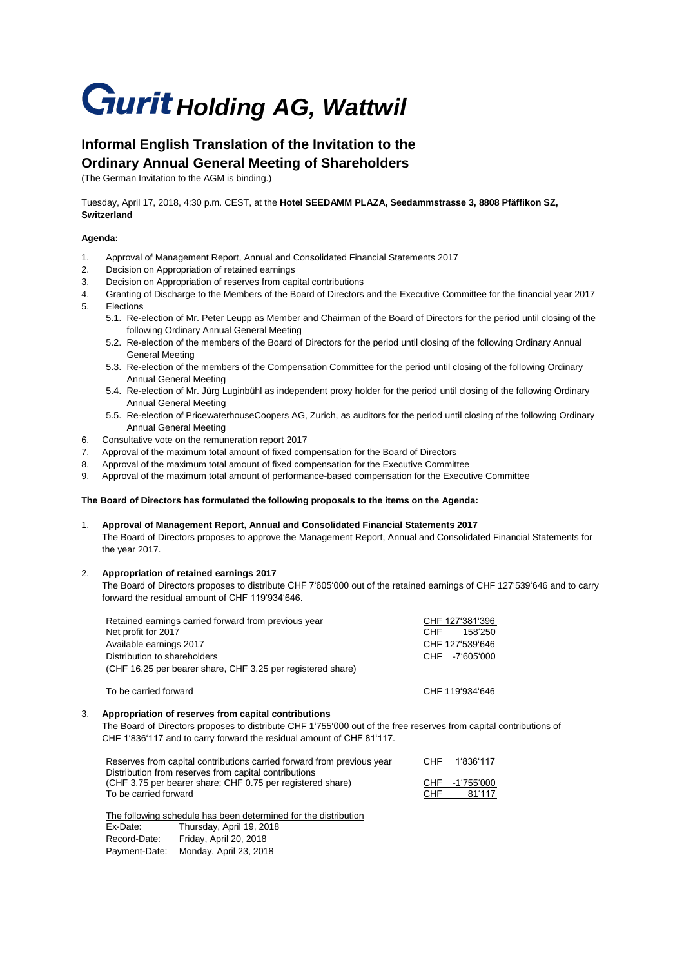# **Gurit Holding AG, Wattwil**

## **Informal English Translation of the Invitation to the Ordinary Annual General Meeting of Shareholders**

(The German Invitation to the AGM is binding.)

Tuesday, April 17, 2018, 4:30 p.m. CEST, at the **Hotel SEEDAMM PLAZA, Seedammstrasse 3, 8808 Pfäffikon SZ, Switzerland**

#### **Agenda:**

- 1. Approval of Management Report, Annual and Consolidated Financial Statements 2017
- 2. Decision on Appropriation of retained earnings
- 3. Decision on Appropriation of reserves from capital contributions
- 4. Granting of Discharge to the Members of the Board of Directors and the Executive Committee for the financial year 2017 5. Elections
	- 5.1. Re-election of Mr. Peter Leupp as Member and Chairman of the Board of Directors for the period until closing of the following Ordinary Annual General Meeting
	- 5.2. Re-election of the members of the Board of Directors for the period until closing of the following Ordinary Annual General Meeting
	- 5.3. Re-election of the members of the Compensation Committee for the period until closing of the following Ordinary Annual General Meeting
	- 5.4. Re-election of Mr. Jürg Luginbühl as independent proxy holder for the period until closing of the following Ordinary Annual General Meeting
	- 5.5. Re-election of PricewaterhouseCoopers AG, Zurich, as auditors for the period until closing of the following Ordinary Annual General Meeting
- 6. Consultative vote on the remuneration report 2017
- 7. Approval of the maximum total amount of fixed compensation for the Board of Directors
- 8. Approval of the maximum total amount of fixed compensation for the Executive Committee
- 9. Approval of the maximum total amount of performance-based compensation for the Executive Committee

#### **The Board of Directors has formulated the following proposals to the items on the Agenda:**

1. **Approval of Management Report, Annual and Consolidated Financial Statements 2017** The Board of Directors proposes to approve the Management Report, Annual and Consolidated Financial Statements for the year 2017.

### 2. **Appropriation of retained earnings 2017**

The Board of Directors proposes to distribute CHF 7'605'000 out of the retained earnings of CHF 127'539'646 and to carry forward the residual amount of CHF 119'934'646.

| Retained earnings carried forward from previous year<br>Net profit for 2017 | CHF 127'381'396<br>CHF.<br>158'250 |  |
|-----------------------------------------------------------------------------|------------------------------------|--|
| Available earnings 2017                                                     | CHF 127'539'646                    |  |
| Distribution to shareholders                                                | -7'605'000<br>CHE                  |  |
| (CHF 16.25 per bearer share, CHF 3.25 per registered share)                 |                                    |  |
| To be carried forward                                                       | CHF 119'934'646                    |  |

### 3. **Appropriation of reserves from capital contributions**

The Board of Directors proposes to distribute CHF 1'755'000 out of the free reserves from capital contributions of CHF 1'836'117 and to carry forward the residual amount of CHF 81'117.

| Reserves from capital contributions carried forward from previous year | CHE. | 1'836'117      |
|------------------------------------------------------------------------|------|----------------|
| Distribution from reserves from capital contributions                  |      |                |
| (CHF 3.75 per bearer share; CHF 0.75 per registered share)             |      | CHF -1'755'000 |
| To be carried forward                                                  | CHF  | 81'117         |
|                                                                        |      |                |

The following schedule has been determined for the distribution

| Ex-Date:      | Thursday, April 19, 2018 |
|---------------|--------------------------|
| Record-Date:  | Friday, April 20, 2018   |
| Payment-Date: | Monday, April 23, 2018   |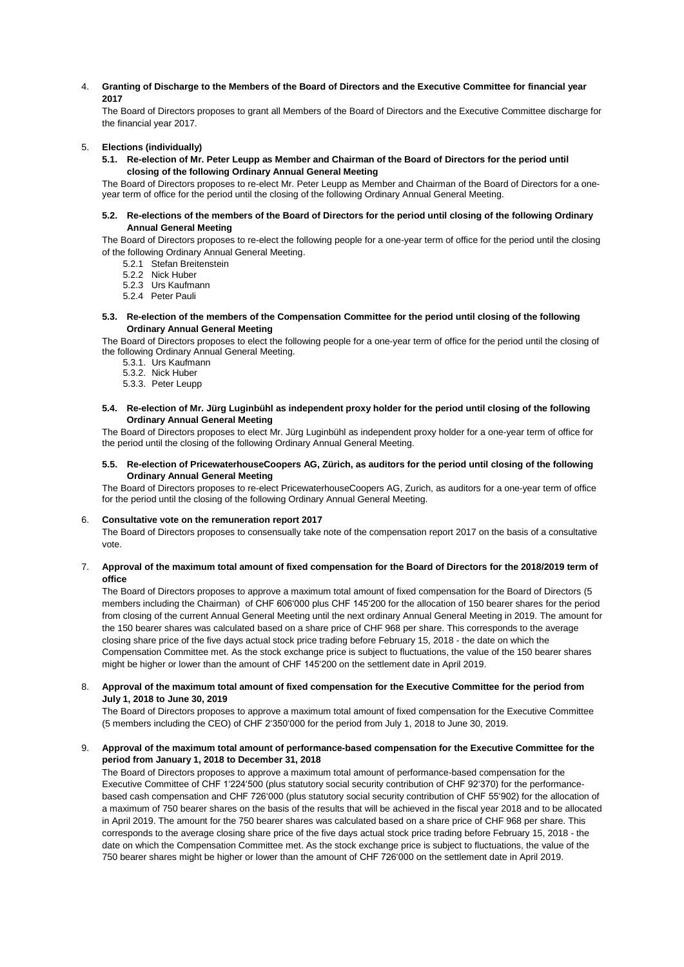4. **Granting of Discharge to the Members of the Board of Directors and the Executive Committee for financial year 2017**

The Board of Directors proposes to grant all Members of the Board of Directors and the Executive Committee discharge for the financial year 2017.

#### 5. **Elections (individually)**

**5.1. Re-election of Mr. Peter Leupp as Member and Chairman of the Board of Directors for the period until closing of the following Ordinary Annual General Meeting** 

The Board of Directors proposes to re-elect Mr. Peter Leupp as Member and Chairman of the Board of Directors for a oneyear term of office for the period until the closing of the following Ordinary Annual General Meeting.

#### **5.2. Re-elections of the members of the Board of Directors for the period until closing of the following Ordinary Annual General Meeting**

The Board of Directors proposes to re-elect the following people for a one-year term of office for the period until the closing of the following Ordinary Annual General Meeting.

- 5.2.1 Stefan Breitenstein
- 5.2.2 Nick Huber
- 5.2.3 Urs Kaufmann
- 5.2.4 Peter Pauli

#### **5.3. Re-election of the members of the Compensation Committee for the period until closing of the following Ordinary Annual General Meeting**

The Board of Directors proposes to elect the following people for a one-year term of office for the period until the closing of the following Ordinary Annual General Meeting.

- 5.3.1. Urs Kaufmann
- 5.3.2. Nick Huber
- 5.3.3. Peter Leupp

#### **5.4. Re-election of Mr. Jürg Luginbühl as independent proxy holder for the period until closing of the following Ordinary Annual General Meeting**

The Board of Directors proposes to elect Mr. Jürg Luginbühl as independent proxy holder for a one-year term of office for the period until the closing of the following Ordinary Annual General Meeting.

#### **5.5. Re-election of PricewaterhouseCoopers AG, Zürich, as auditors for the period until closing of the following Ordinary Annual General Meeting**

The Board of Directors proposes to re-elect PricewaterhouseCoopers AG, Zurich, as auditors for a one-year term of office for the period until the closing of the following Ordinary Annual General Meeting.

#### 6. **Consultative vote on the remuneration report 2017**

The Board of Directors proposes to consensually take note of the compensation report 2017 on the basis of a consultative vote.

#### 7. **Approval of the maximum total amount of fixed compensation for the Board of Directors for the 2018/2019 term of office**

The Board of Directors proposes to approve a maximum total amount of fixed compensation for the Board of Directors (5 members including the Chairman) of CHF 606'000 plus CHF 145'200 for the allocation of 150 bearer shares for the period from closing of the current Annual General Meeting until the next ordinary Annual General Meeting in 2019. The amount for the 150 bearer shares was calculated based on a share price of CHF 968 per share. This corresponds to the average closing share price of the five days actual stock price trading before February 15, 2018 - the date on which the Compensation Committee met. As the stock exchange price is subject to fluctuations, the value of the 150 bearer shares might be higher or lower than the amount of CHF 145'200 on the settlement date in April 2019.

#### 8. **Approval of the maximum total amount of fixed compensation for the Executive Committee for the period from July 1, 2018 to June 30, 2019**

The Board of Directors proposes to approve a maximum total amount of fixed compensation for the Executive Committee (5 members including the CEO) of CHF 2'350'000 for the period from July 1, 2018 to June 30, 2019.

#### 9. **Approval of the maximum total amount of performance-based compensation for the Executive Committee for the period from January 1, 2018 to December 31, 2018**

The Board of Directors proposes to approve a maximum total amount of performance-based compensation for the Executive Committee of CHF 1'224'500 (plus statutory social security contribution of CHF 92'370) for the performancebased cash compensation and CHF 726'000 (plus statutory social security contribution of CHF 55'902) for the allocation of a maximum of 750 bearer shares on the basis of the results that will be achieved in the fiscal year 2018 and to be allocated in April 2019. The amount for the 750 bearer shares was calculated based on a share price of CHF 968 per share. This corresponds to the average closing share price of the five days actual stock price trading before February 15, 2018 - the date on which the Compensation Committee met. As the stock exchange price is subject to fluctuations, the value of the 750 bearer shares might be higher or lower than the amount of CHF 726'000 on the settlement date in April 2019.